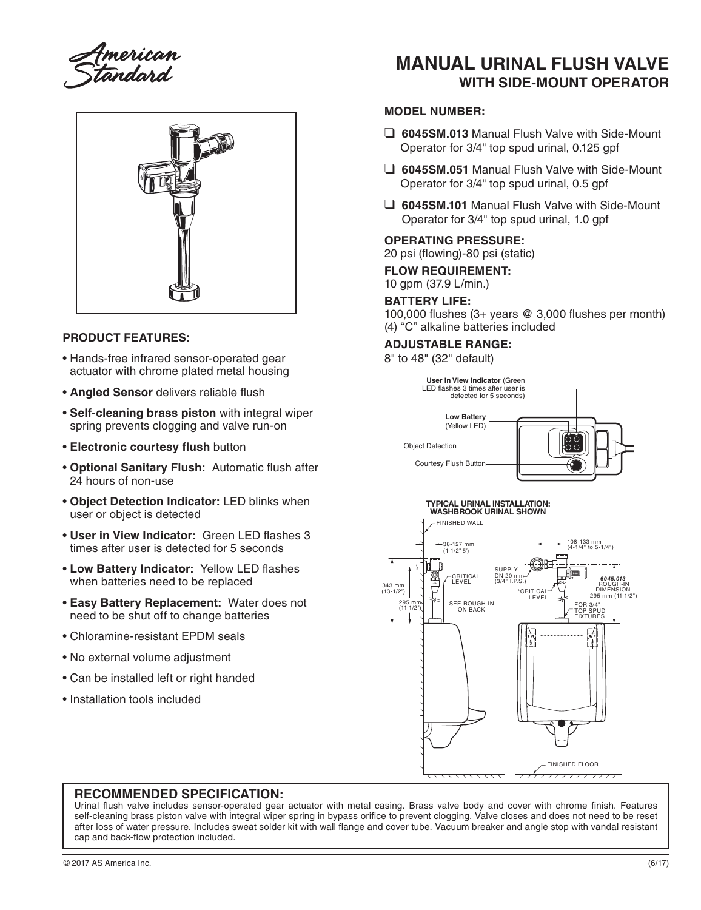American<br>Standard

# **MANUAL URINAL FLUSH VALVE WITH SIDE-MOUNT OPERATOR**



#### **PRODUCT FEATURES:**

- Hands-free infrared sensor-operated gear actuator with chrome plated metal housing
- **Angled Sensor** delivers reliable flush
- **Self-cleaning brass piston** with integral wiper spring prevents clogging and valve run-on
- **Electronic courtesy flush** button
- **Optional Sanitary Flush:** Automatic flush after 24 hours of non-use
- **Object Detection Indicator:** LED blinks when user or object is detected
- **User in View Indicator:** Green LED flashes 3 times after user is detected for 5 seconds
- **Low Battery Indicator:** Yellow LED flashes when batteries need to be replaced
- **Easy Battery Replacement:** Water does not need to be shut off to change batteries
- Chloramine-resistant EPDM seals
- No external volume adjustment
- Can be installed left or right handed
- Installation tools included

#### **MODEL NUMBER:**

- ❑ **6045SM.013** Manual Flush Valve with Side-Mount Operator for 3/4" top spud urinal, 0.125 gpf
- ❑ **6045SM.051** Manual Flush Valve with Side-Mount Operator for 3/4" top spud urinal, 0.5 gpf
- ❑ **6045SM.101** Manual Flush Valve with Side-Mount Operator for 3/4" top spud urinal, 1.0 gpf

#### **OPERATING PRESSURE:**

20 psi (flowing)-80 psi (static)

### **FLOW REQUIREMENT:**

10 gpm (37.9 L/min.)

#### **BATTERY LIFE:**

100,000 flushes (3+ years @ 3,000 flushes per month) (4) "C" alkaline batteries included

#### **ADJUSTABLE RANGE:**

8" to 48" (32" default)





#### **RECOMMENDED SPECIFICATION:**

Urinal flush valve includes sensor-operated gear actuator with metal casing. Brass valve body and cover with chrome finish. Features self-cleaning brass piston valve with integral wiper spring in bypass orifice to prevent clogging. Valve closes and does not need to be reset after loss of water pressure. Includes sweat solder kit with wall flange and cover tube. Vacuum breaker and angle stop with vandal resistant cap and back-flow protection included.